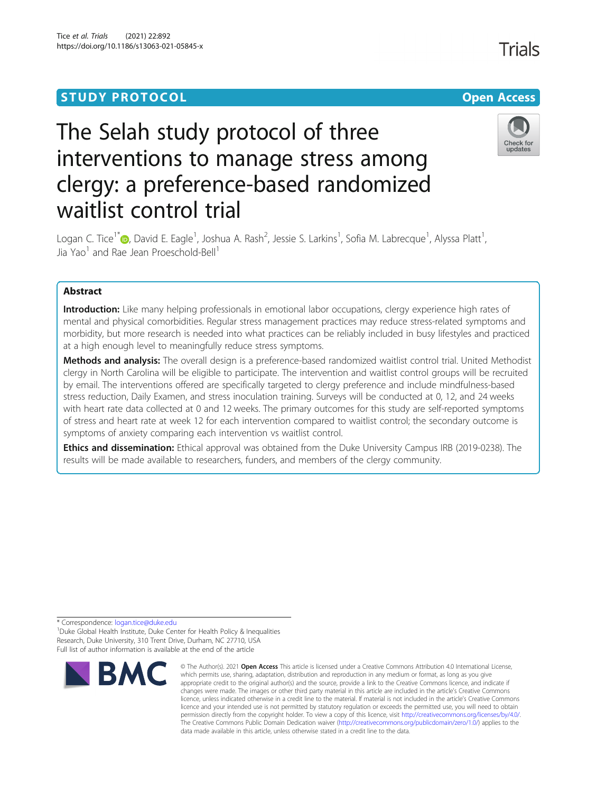## **STUDY PROTOCOL CONSUMING THE RESERVE ACCESS**

# The Selah study protocol of three interventions to manage stress among clergy: a preference-based randomized waitlist control trial



Logan C. Tice<sup>1\*</sup>®[,](http://orcid.org/0000-0001-7684-6393) David E. Eagle<sup>1</sup>, Joshua A. Rash<sup>2</sup>, Jessie S. Larkins<sup>1</sup>, Sofia M. Labrecque<sup>1</sup>, Alyssa Platt<sup>1</sup> , Jia Yao<sup>1</sup> and Rae Jean Proeschold-Bell<sup>1</sup>

### Abstract

Introduction: Like many helping professionals in emotional labor occupations, clergy experience high rates of mental and physical comorbidities. Regular stress management practices may reduce stress-related symptoms and morbidity, but more research is needed into what practices can be reliably included in busy lifestyles and practiced at a high enough level to meaningfully reduce stress symptoms.

Methods and analysis: The overall design is a preference-based randomized waitlist control trial. United Methodist clergy in North Carolina will be eligible to participate. The intervention and waitlist control groups will be recruited by email. The interventions offered are specifically targeted to clergy preference and include mindfulness-based stress reduction, Daily Examen, and stress inoculation training. Surveys will be conducted at 0, 12, and 24 weeks with heart rate data collected at 0 and 12 weeks. The primary outcomes for this study are self-reported symptoms of stress and heart rate at week 12 for each intervention compared to waitlist control; the secondary outcome is symptoms of anxiety comparing each intervention vs waitlist control.

Ethics and dissemination: Ethical approval was obtained from the Duke University Campus IRB (2019-0238). The results will be made available to researchers, funders, and members of the clergy community.

\* Correspondence: [logan.tice@duke.edu](mailto:logan.tice@duke.edu) <sup>1</sup>

<sup>1</sup> Duke Global Health Institute, Duke Center for Health Policy & Inequalities Research, Duke University, 310 Trent Drive, Durham, NC 27710, USA Full list of author information is available at the end of the article



<sup>©</sup> The Author(s), 2021 **Open Access** This article is licensed under a Creative Commons Attribution 4.0 International License, which permits use, sharing, adaptation, distribution and reproduction in any medium or format, as long as you give appropriate credit to the original author(s) and the source, provide a link to the Creative Commons licence, and indicate if changes were made. The images or other third party material in this article are included in the article's Creative Commons licence, unless indicated otherwise in a credit line to the material. If material is not included in the article's Creative Commons licence and your intended use is not permitted by statutory regulation or exceeds the permitted use, you will need to obtain permission directly from the copyright holder. To view a copy of this licence, visit [http://creativecommons.org/licenses/by/4.0/.](http://creativecommons.org/licenses/by/4.0/) The Creative Commons Public Domain Dedication waiver [\(http://creativecommons.org/publicdomain/zero/1.0/](http://creativecommons.org/publicdomain/zero/1.0/)) applies to the data made available in this article, unless otherwise stated in a credit line to the data.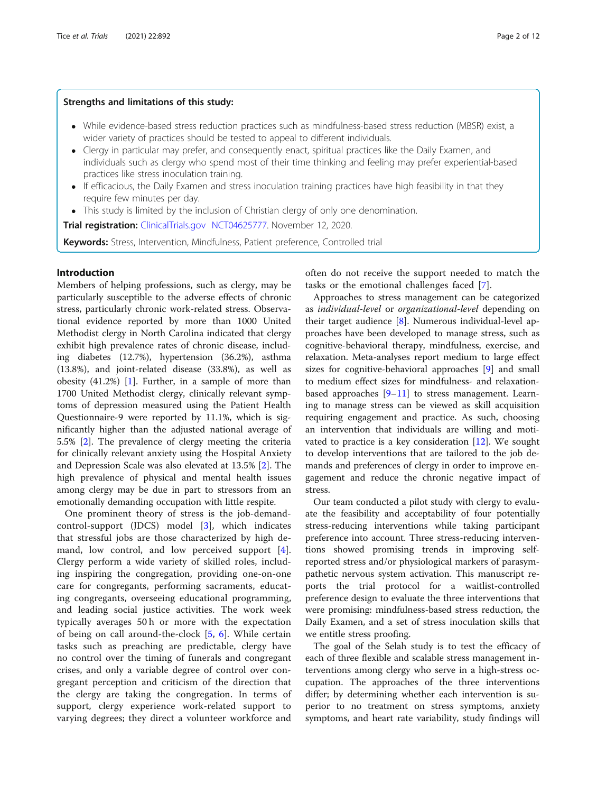#### Strengths and limitations of this study:

- While evidence-based stress reduction practices such as mindfulness-based stress reduction (MBSR) exist, a wider variety of practices should be tested to appeal to different individuals.
- Clergy in particular may prefer, and consequently enact, spiritual practices like the Daily Examen, and individuals such as clergy who spend most of their time thinking and feeling may prefer experiential-based practices like stress inoculation training.
- If efficacious, the Daily Examen and stress inoculation training practices have high feasibility in that they require few minutes per day.
- This study is limited by the inclusion of Christian clergy of only one denomination.

Trial registration: [ClinicalTrials.gov](http://clinicaltrials.gov) [NCT04625777](https://clinicaltrials.gov/ct2/show/NCT04625777). November 12, 2020.

**Keywords:** Stress, Intervention, Mindfulness, Patient preference, Controlled trial

#### Introduction

Members of helping professions, such as clergy, may be particularly susceptible to the adverse effects of chronic stress, particularly chronic work-related stress. Observational evidence reported by more than 1000 United Methodist clergy in North Carolina indicated that clergy exhibit high prevalence rates of chronic disease, including diabetes (12.7%), hypertension (36.2%), asthma (13.8%), and joint-related disease (33.8%), as well as obesity (41.2%) [\[1](#page-10-0)]. Further, in a sample of more than 1700 United Methodist clergy, clinically relevant symptoms of depression measured using the Patient Health Questionnaire-9 were reported by 11.1%, which is significantly higher than the adjusted national average of 5.5% [\[2\]](#page-10-0). The prevalence of clergy meeting the criteria for clinically relevant anxiety using the Hospital Anxiety and Depression Scale was also elevated at 13.5% [[2\]](#page-10-0). The high prevalence of physical and mental health issues among clergy may be due in part to stressors from an emotionally demanding occupation with little respite.

One prominent theory of stress is the job-demandcontrol-support (JDCS) model [\[3](#page-10-0)], which indicates that stressful jobs are those characterized by high demand, low control, and low perceived support [\[4](#page-10-0)]. Clergy perform a wide variety of skilled roles, including inspiring the congregation, providing one-on-one care for congregants, performing sacraments, educating congregants, overseeing educational programming, and leading social justice activities. The work week typically averages 50 h or more with the expectation of being on call around-the-clock [\[5](#page-10-0), [6](#page-10-0)]. While certain tasks such as preaching are predictable, clergy have no control over the timing of funerals and congregant crises, and only a variable degree of control over congregant perception and criticism of the direction that the clergy are taking the congregation. In terms of support, clergy experience work-related support to varying degrees; they direct a volunteer workforce and often do not receive the support needed to match the tasks or the emotional challenges faced [\[7](#page-10-0)].

Approaches to stress management can be categorized as individual-level or organizational-level depending on their target audience  $[8]$  $[8]$ . Numerous individual-level approaches have been developed to manage stress, such as cognitive-behavioral therapy, mindfulness, exercise, and relaxation. Meta-analyses report medium to large effect sizes for cognitive-behavioral approaches [[9\]](#page-10-0) and small to medium effect sizes for mindfulness- and relaxationbased approaches  $[9-11]$  $[9-11]$  $[9-11]$  to stress management. Learning to manage stress can be viewed as skill acquisition requiring engagement and practice. As such, choosing an intervention that individuals are willing and motivated to practice is a key consideration [[12](#page-10-0)]. We sought to develop interventions that are tailored to the job demands and preferences of clergy in order to improve engagement and reduce the chronic negative impact of stress.

Our team conducted a pilot study with clergy to evaluate the feasibility and acceptability of four potentially stress-reducing interventions while taking participant preference into account. Three stress-reducing interventions showed promising trends in improving selfreported stress and/or physiological markers of parasympathetic nervous system activation. This manuscript reports the trial protocol for a waitlist-controlled preference design to evaluate the three interventions that were promising: mindfulness-based stress reduction, the Daily Examen, and a set of stress inoculation skills that we entitle stress proofing.

The goal of the Selah study is to test the efficacy of each of three flexible and scalable stress management interventions among clergy who serve in a high-stress occupation. The approaches of the three interventions differ; by determining whether each intervention is superior to no treatment on stress symptoms, anxiety symptoms, and heart rate variability, study findings will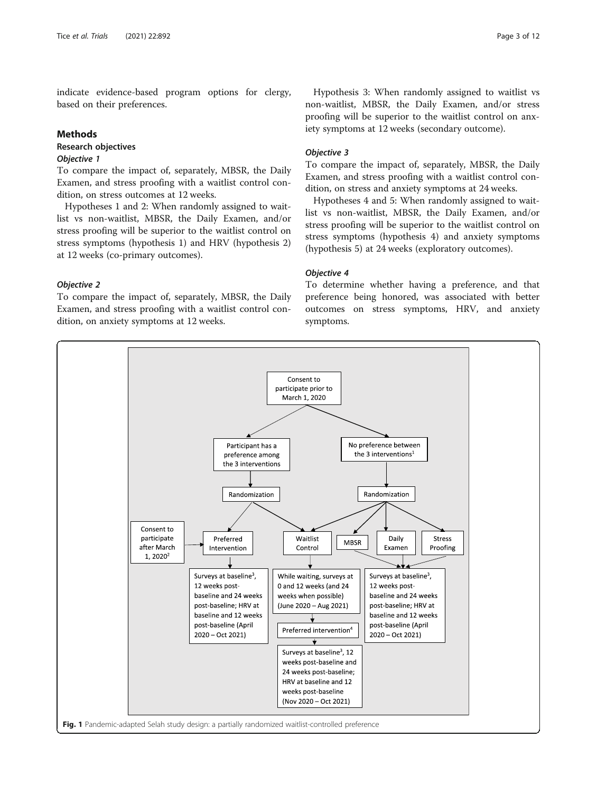<span id="page-2-0"></span>indicate evidence-based program options for clergy, based on their preferences.

#### Methods

#### Research objectives Objective 1

To compare the impact of, separately, MBSR, the Daily Examen, and stress proofing with a waitlist control condition, on stress outcomes at 12 weeks.

Hypotheses 1 and 2: When randomly assigned to waitlist vs non-waitlist, MBSR, the Daily Examen, and/or stress proofing will be superior to the waitlist control on stress symptoms (hypothesis 1) and HRV (hypothesis 2) at 12 weeks (co-primary outcomes).

Objective 2

To compare the impact of, separately, MBSR, the Daily Examen, and stress proofing with a waitlist control condition, on anxiety symptoms at 12 weeks.

Hypothesis 3: When randomly assigned to waitlist vs non-waitlist, MBSR, the Daily Examen, and/or stress proofing will be superior to the waitlist control on anxiety symptoms at 12 weeks (secondary outcome).

#### Objective 3

To compare the impact of, separately, MBSR, the Daily Examen, and stress proofing with a waitlist control condition, on stress and anxiety symptoms at 24 weeks.

Hypotheses 4 and 5: When randomly assigned to waitlist vs non-waitlist, MBSR, the Daily Examen, and/or stress proofing will be superior to the waitlist control on stress symptoms (hypothesis 4) and anxiety symptoms (hypothesis 5) at 24 weeks (exploratory outcomes).

#### Objective 4

To determine whether having a preference, and that preference being honored, was associated with better outcomes on stress symptoms, HRV, and anxiety symptoms.

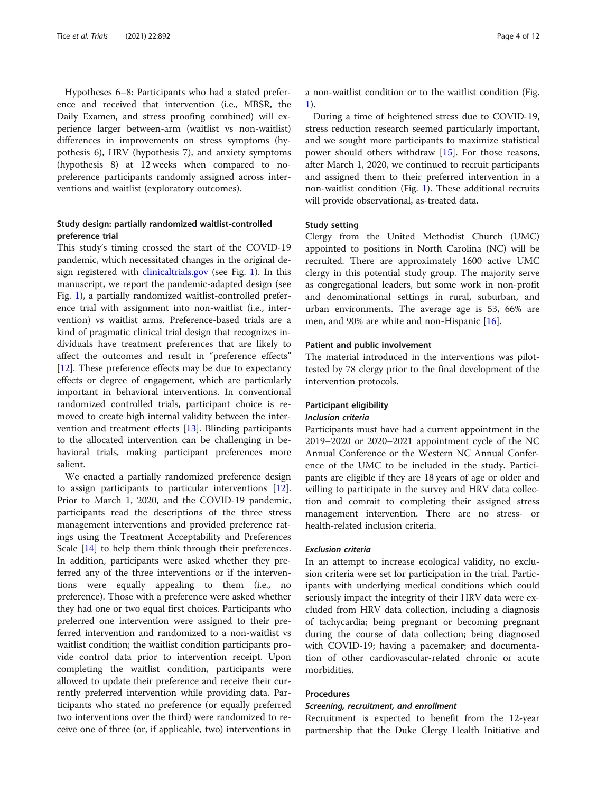Hypotheses 6–8: Participants who had a stated preference and received that intervention (i.e., MBSR, the Daily Examen, and stress proofing combined) will experience larger between-arm (waitlist vs non-waitlist) differences in improvements on stress symptoms (hypothesis 6), HRV (hypothesis 7), and anxiety symptoms (hypothesis 8) at 12 weeks when compared to nopreference participants randomly assigned across interventions and waitlist (exploratory outcomes).

#### Study design: partially randomized waitlist-controlled preference trial

This study's timing crossed the start of the COVID-19 pandemic, which necessitated changes in the original design registered with [clinicaltrials.gov](http://clinicaltrials.gov) (see Fig. [1](#page-2-0)). In this manuscript, we report the pandemic-adapted design (see Fig. [1\)](#page-2-0), a partially randomized waitlist-controlled preference trial with assignment into non-waitlist (i.e., intervention) vs waitlist arms. Preference-based trials are a kind of pragmatic clinical trial design that recognizes individuals have treatment preferences that are likely to affect the outcomes and result in "preference effects" [[12\]](#page-10-0). These preference effects may be due to expectancy effects or degree of engagement, which are particularly important in behavioral interventions. In conventional randomized controlled trials, participant choice is removed to create high internal validity between the intervention and treatment effects [[13\]](#page-10-0). Blinding participants to the allocated intervention can be challenging in behavioral trials, making participant preferences more salient.

We enacted a partially randomized preference design to assign participants to particular interventions [\[12](#page-10-0)]. Prior to March 1, 2020, and the COVID-19 pandemic, participants read the descriptions of the three stress management interventions and provided preference ratings using the Treatment Acceptability and Preferences Scale [\[14\]](#page-10-0) to help them think through their preferences. In addition, participants were asked whether they preferred any of the three interventions or if the interventions were equally appealing to them (i.e., no preference). Those with a preference were asked whether they had one or two equal first choices. Participants who preferred one intervention were assigned to their preferred intervention and randomized to a non-waitlist vs waitlist condition; the waitlist condition participants provide control data prior to intervention receipt. Upon completing the waitlist condition, participants were allowed to update their preference and receive their currently preferred intervention while providing data. Participants who stated no preference (or equally preferred two interventions over the third) were randomized to receive one of three (or, if applicable, two) interventions in a non-waitlist condition or to the waitlist condition (Fig. [1\)](#page-2-0).

During a time of heightened stress due to COVID-19, stress reduction research seemed particularly important, and we sought more participants to maximize statistical power should others withdraw [[15\]](#page-10-0). For those reasons, after March 1, 2020, we continued to recruit participants and assigned them to their preferred intervention in a non-waitlist condition (Fig. [1](#page-2-0)). These additional recruits will provide observational, as-treated data.

#### Study setting

Clergy from the United Methodist Church (UMC) appointed to positions in North Carolina (NC) will be recruited. There are approximately 1600 active UMC clergy in this potential study group. The majority serve as congregational leaders, but some work in non-profit and denominational settings in rural, suburban, and urban environments. The average age is 53, 66% are men, and 90% are white and non-Hispanic [[16](#page-10-0)].

#### Patient and public involvement

The material introduced in the interventions was pilottested by 78 clergy prior to the final development of the intervention protocols.

#### Participant eligibility

#### Inclusion criteria

Participants must have had a current appointment in the 2019–2020 or 2020–2021 appointment cycle of the NC Annual Conference or the Western NC Annual Conference of the UMC to be included in the study. Participants are eligible if they are 18 years of age or older and willing to participate in the survey and HRV data collection and commit to completing their assigned stress management intervention. There are no stress- or health-related inclusion criteria.

#### Exclusion criteria

In an attempt to increase ecological validity, no exclusion criteria were set for participation in the trial. Participants with underlying medical conditions which could seriously impact the integrity of their HRV data were excluded from HRV data collection, including a diagnosis of tachycardia; being pregnant or becoming pregnant during the course of data collection; being diagnosed with COVID-19; having a pacemaker; and documentation of other cardiovascular-related chronic or acute morbidities.

#### Procedures

#### Screening, recruitment, and enrollment

Recruitment is expected to benefit from the 12-year partnership that the Duke Clergy Health Initiative and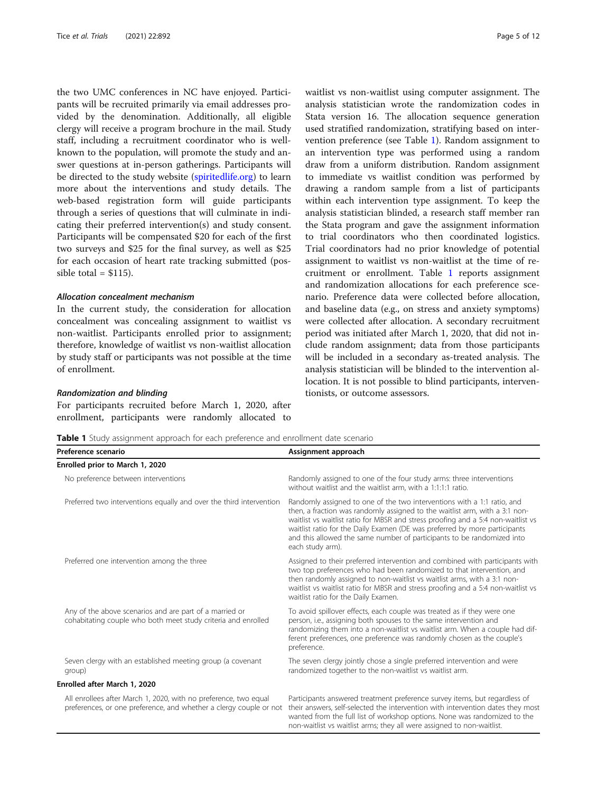the two UMC conferences in NC have enjoyed. Participants will be recruited primarily via email addresses provided by the denomination. Additionally, all eligible clergy will receive a program brochure in the mail. Study staff, including a recruitment coordinator who is wellknown to the population, will promote the study and answer questions at in-person gatherings. Participants will be directed to the study website ([spiritedlife.org\)](http://spiritedlife.org) to learn more about the interventions and study details. The web-based registration form will guide participants through a series of questions that will culminate in indicating their preferred intervention(s) and study consent. Participants will be compensated \$20 for each of the first two surveys and \$25 for the final survey, as well as \$25 for each occasion of heart rate tracking submitted (possible total  $=$  \$115).

#### Allocation concealment mechanism

In the current study, the consideration for allocation concealment was concealing assignment to waitlist vs non-waitlist. Participants enrolled prior to assignment; therefore, knowledge of waitlist vs non-waitlist allocation by study staff or participants was not possible at the time of enrollment.

#### Randomization and blinding

For participants recruited before March 1, 2020, after enrollment, participants were randomly allocated to waitlist vs non-waitlist using computer assignment. The analysis statistician wrote the randomization codes in Stata version 16. The allocation sequence generation used stratified randomization, stratifying based on intervention preference (see Table 1). Random assignment to an intervention type was performed using a random draw from a uniform distribution. Random assignment to immediate vs waitlist condition was performed by drawing a random sample from a list of participants within each intervention type assignment. To keep the analysis statistician blinded, a research staff member ran the Stata program and gave the assignment information to trial coordinators who then coordinated logistics. Trial coordinators had no prior knowledge of potential assignment to waitlist vs non-waitlist at the time of recruitment or enrollment. Table 1 reports assignment and randomization allocations for each preference scenario. Preference data were collected before allocation, and baseline data (e.g., on stress and anxiety symptoms) were collected after allocation. A secondary recruitment period was initiated after March 1, 2020, that did not include random assignment; data from those participants will be included in a secondary as-treated analysis. The analysis statistician will be blinded to the intervention allocation. It is not possible to blind participants, interventionists, or outcome assessors.

|  |  |  |  |  |  |  | Table 1 Study assignment approach for each preference and enrollment date scenario |  |
|--|--|--|--|--|--|--|------------------------------------------------------------------------------------|--|
|--|--|--|--|--|--|--|------------------------------------------------------------------------------------|--|

| Preference scenario                                                                                                                    | Assignment approach                                                                                                                                                                                                                                                                                                                                                                                                     |  |  |  |  |
|----------------------------------------------------------------------------------------------------------------------------------------|-------------------------------------------------------------------------------------------------------------------------------------------------------------------------------------------------------------------------------------------------------------------------------------------------------------------------------------------------------------------------------------------------------------------------|--|--|--|--|
| Enrolled prior to March 1, 2020                                                                                                        |                                                                                                                                                                                                                                                                                                                                                                                                                         |  |  |  |  |
| No preference between interventions                                                                                                    | Randomly assigned to one of the four study arms: three interventions<br>without waitlist and the waitlist arm, with a 1:1:1:1 ratio.                                                                                                                                                                                                                                                                                    |  |  |  |  |
| Preferred two interventions equally and over the third intervention                                                                    | Randomly assigned to one of the two interventions with a 1:1 ratio, and<br>then, a fraction was randomly assigned to the waitlist arm, with a 3:1 non-<br>waitlist vs waitlist ratio for MBSR and stress proofing and a 5:4 non-waitlist vs<br>waitlist ratio for the Daily Examen (DE was preferred by more participants<br>and this allowed the same number of participants to be randomized into<br>each study arm). |  |  |  |  |
| Preferred one intervention among the three                                                                                             | Assigned to their preferred intervention and combined with participants with<br>two top preferences who had been randomized to that intervention, and<br>then randomly assigned to non-waitlist vs waitlist arms, with a 3:1 non-<br>waitlist vs waitlist ratio for MBSR and stress proofing and a 5:4 non-waitlist vs<br>waitlist ratio for the Daily Examen.                                                          |  |  |  |  |
| Any of the above scenarios and are part of a married or<br>cohabitating couple who both meet study criteria and enrolled               | To avoid spillover effects, each couple was treated as if they were one<br>person, i.e., assigning both spouses to the same intervention and<br>randomizing them into a non-waitlist vs waitlist arm. When a couple had dif-<br>ferent preferences, one preference was randomly chosen as the couple's<br>preference.                                                                                                   |  |  |  |  |
| Seven clergy with an established meeting group (a covenant<br>group)                                                                   | The seven clergy jointly chose a single preferred intervention and were<br>randomized together to the non-waitlist vs waitlist arm.                                                                                                                                                                                                                                                                                     |  |  |  |  |
| Enrolled after March 1, 2020                                                                                                           |                                                                                                                                                                                                                                                                                                                                                                                                                         |  |  |  |  |
| All enrollees after March 1, 2020, with no preference, two equal<br>preferences, or one preference, and whether a clergy couple or not | Participants answered treatment preference survey items, but regardless of<br>their answers, self-selected the intervention with intervention dates they most<br>wanted from the full list of workshop options. None was randomized to the<br>non-waitlist vs waitlist arms; they all were assigned to non-waitlist.                                                                                                    |  |  |  |  |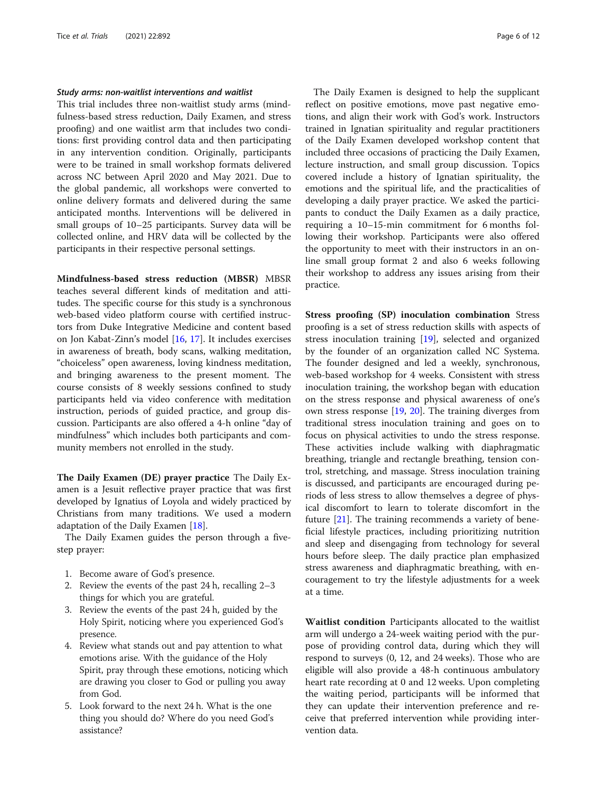#### Study arms: non-waitlist interventions and waitlist

This trial includes three non-waitlist study arms (mindfulness-based stress reduction, Daily Examen, and stress proofing) and one waitlist arm that includes two conditions: first providing control data and then participating in any intervention condition. Originally, participants were to be trained in small workshop formats delivered across NC between April 2020 and May 2021. Due to the global pandemic, all workshops were converted to online delivery formats and delivered during the same anticipated months. Interventions will be delivered in small groups of 10–25 participants. Survey data will be collected online, and HRV data will be collected by the participants in their respective personal settings.

Mindfulness-based stress reduction (MBSR) MBSR teaches several different kinds of meditation and attitudes. The specific course for this study is a synchronous web-based video platform course with certified instructors from Duke Integrative Medicine and content based on Jon Kabat-Zinn's model [[16](#page-10-0), [17](#page-10-0)]. It includes exercises in awareness of breath, body scans, walking meditation, "choiceless" open awareness, loving kindness meditation, and bringing awareness to the present moment. The course consists of 8 weekly sessions confined to study participants held via video conference with meditation instruction, periods of guided practice, and group discussion. Participants are also offered a 4-h online "day of mindfulness" which includes both participants and community members not enrolled in the study.

The Daily Examen (DE) prayer practice The Daily Examen is a Jesuit reflective prayer practice that was first developed by Ignatius of Loyola and widely practiced by Christians from many traditions. We used a modern adaptation of the Daily Examen [\[18](#page-10-0)].

The Daily Examen guides the person through a fivestep prayer:

- 1. Become aware of God's presence.
- 2. Review the events of the past 24 h, recalling 2–3 things for which you are grateful.
- 3. Review the events of the past 24 h, guided by the Holy Spirit, noticing where you experienced God's presence.
- 4. Review what stands out and pay attention to what emotions arise. With the guidance of the Holy Spirit, pray through these emotions, noticing which are drawing you closer to God or pulling you away from God.
- 5. Look forward to the next 24 h. What is the one thing you should do? Where do you need God's assistance?

The Daily Examen is designed to help the supplicant reflect on positive emotions, move past negative emotions, and align their work with God's work. Instructors trained in Ignatian spirituality and regular practitioners of the Daily Examen developed workshop content that included three occasions of practicing the Daily Examen, lecture instruction, and small group discussion. Topics covered include a history of Ignatian spirituality, the emotions and the spiritual life, and the practicalities of developing a daily prayer practice. We asked the participants to conduct the Daily Examen as a daily practice, requiring a 10–15-min commitment for 6 months following their workshop. Participants were also offered the opportunity to meet with their instructors in an online small group format 2 and also 6 weeks following their workshop to address any issues arising from their practice.

Stress proofing (SP) inoculation combination Stress proofing is a set of stress reduction skills with aspects of stress inoculation training [\[19](#page-10-0)], selected and organized by the founder of an organization called NC Systema. The founder designed and led a weekly, synchronous, web-based workshop for 4 weeks. Consistent with stress inoculation training, the workshop began with education on the stress response and physical awareness of one's own stress response [[19](#page-10-0), [20\]](#page-10-0). The training diverges from traditional stress inoculation training and goes on to focus on physical activities to undo the stress response. These activities include walking with diaphragmatic breathing, triangle and rectangle breathing, tension control, stretching, and massage. Stress inoculation training is discussed, and participants are encouraged during periods of less stress to allow themselves a degree of physical discomfort to learn to tolerate discomfort in the future [\[21\]](#page-10-0). The training recommends a variety of beneficial lifestyle practices, including prioritizing nutrition and sleep and disengaging from technology for several hours before sleep. The daily practice plan emphasized stress awareness and diaphragmatic breathing, with encouragement to try the lifestyle adjustments for a week at a time.

Waitlist condition Participants allocated to the waitlist arm will undergo a 24-week waiting period with the purpose of providing control data, during which they will respond to surveys (0, 12, and 24 weeks). Those who are eligible will also provide a 48-h continuous ambulatory heart rate recording at 0 and 12 weeks. Upon completing the waiting period, participants will be informed that they can update their intervention preference and receive that preferred intervention while providing intervention data.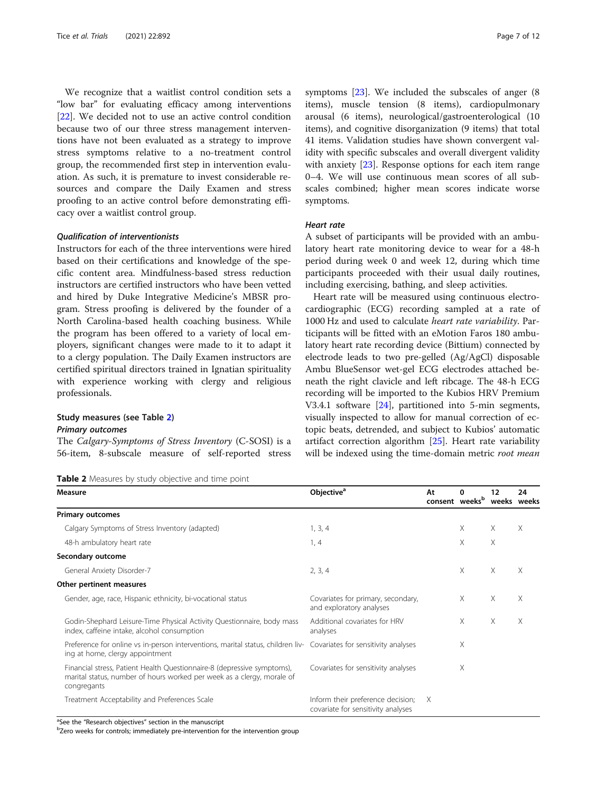<span id="page-6-0"></span>We recognize that a waitlist control condition sets a "low bar" for evaluating efficacy among interventions [[22\]](#page-10-0). We decided not to use an active control condition because two of our three stress management interventions have not been evaluated as a strategy to improve stress symptoms relative to a no-treatment control group, the recommended first step in intervention evaluation. As such, it is premature to invest considerable resources and compare the Daily Examen and stress proofing to an active control before demonstrating efficacy over a waitlist control group.

#### Qualification of interventionists

Instructors for each of the three interventions were hired based on their certifications and knowledge of the specific content area. Mindfulness-based stress reduction instructors are certified instructors who have been vetted and hired by Duke Integrative Medicine's MBSR program. Stress proofing is delivered by the founder of a North Carolina-based health coaching business. While the program has been offered to a variety of local employers, significant changes were made to it to adapt it to a clergy population. The Daily Examen instructors are certified spiritual directors trained in Ignatian spirituality with experience working with clergy and religious professionals.

#### Study measures (see Table 2)

#### Primary outcomes

The Calgary-Symptoms of Stress Inventory (C-SOSI) is a 56-item, 8-subscale measure of self-reported stress

Table 2 Measures by study objective and time point

symptoms [\[23\]](#page-10-0). We included the subscales of anger (8 items), muscle tension (8 items), cardiopulmonary arousal (6 items), neurological/gastroenterological (10 items), and cognitive disorganization (9 items) that total 41 items. Validation studies have shown convergent validity with specific subscales and overall divergent validity with anxiety [\[23\]](#page-10-0). Response options for each item range 0–4. We will use continuous mean scores of all subscales combined; higher mean scores indicate worse symptoms.

#### Heart rate

A subset of participants will be provided with an ambulatory heart rate monitoring device to wear for a 48-h period during week 0 and week 12, during which time participants proceeded with their usual daily routines, including exercising, bathing, and sleep activities.

Heart rate will be measured using continuous electrocardiographic (ECG) recording sampled at a rate of 1000 Hz and used to calculate heart rate variability. Participants will be fitted with an eMotion Faros 180 ambulatory heart rate recording device (Bittium) connected by electrode leads to two pre-gelled (Ag/AgCl) disposable Ambu BlueSensor wet-gel ECG electrodes attached beneath the right clavicle and left ribcage. The 48-h ECG recording will be imported to the Kubios HRV Premium V3.4.1 software [[24\]](#page-10-0), partitioned into 5-min segments, visually inspected to allow for manual correction of ectopic beats, detrended, and subject to Kubios' automatic artifact correction algorithm [\[25](#page-10-0)]. Heart rate variability will be indexed using the time-domain metric root mean

| Measure                                                                                                                                                          | Objective <sup>a</sup>                                                  | At<br>consent weeks <sup>b</sup> | 0        | 12<br>weeks weeks | 24 |
|------------------------------------------------------------------------------------------------------------------------------------------------------------------|-------------------------------------------------------------------------|----------------------------------|----------|-------------------|----|
| <b>Primary outcomes</b>                                                                                                                                          |                                                                         |                                  |          |                   |    |
| Calgary Symptoms of Stress Inventory (adapted)                                                                                                                   | 1, 3, 4                                                                 |                                  | Χ        | $\times$          | X  |
| 48-h ambulatory heart rate                                                                                                                                       | 1, 4                                                                    |                                  | X        | $\times$          |    |
| Secondary outcome                                                                                                                                                |                                                                         |                                  |          |                   |    |
| General Anxiety Disorder-7                                                                                                                                       | 2, 3, 4                                                                 |                                  | $\times$ | $\times$          | X  |
| Other pertinent measures                                                                                                                                         |                                                                         |                                  |          |                   |    |
| Gender, age, race, Hispanic ethnicity, bi-vocational status                                                                                                      | Covariates for primary, secondary,<br>and exploratory analyses          |                                  | $\times$ | $\times$          | X  |
| Godin-Shephard Leisure-Time Physical Activity Questionnaire, body mass<br>index, caffeine intake, alcohol consumption                                            | Additional covariates for HRV<br>analyses                               |                                  | X        | X                 | X  |
| Preference for online vs in-person interventions, marital status, children liv- Covariates for sensitivity analyses<br>ing at home, clergy appointment           |                                                                         |                                  | X        |                   |    |
| Financial stress, Patient Health Questionnaire-8 (depressive symptoms),<br>marital status, number of hours worked per week as a clergy, morale of<br>congregants | Covariates for sensitivity analyses                                     |                                  | X        |                   |    |
| Treatment Acceptability and Preferences Scale                                                                                                                    | Inform their preference decision;<br>covariate for sensitivity analyses | Χ                                |          |                   |    |

<sup>a</sup>See the "Research objectives" section in the manuscript<br><sup>b</sup>Zero weeks for controls; immediately pre-intervention for the intervention group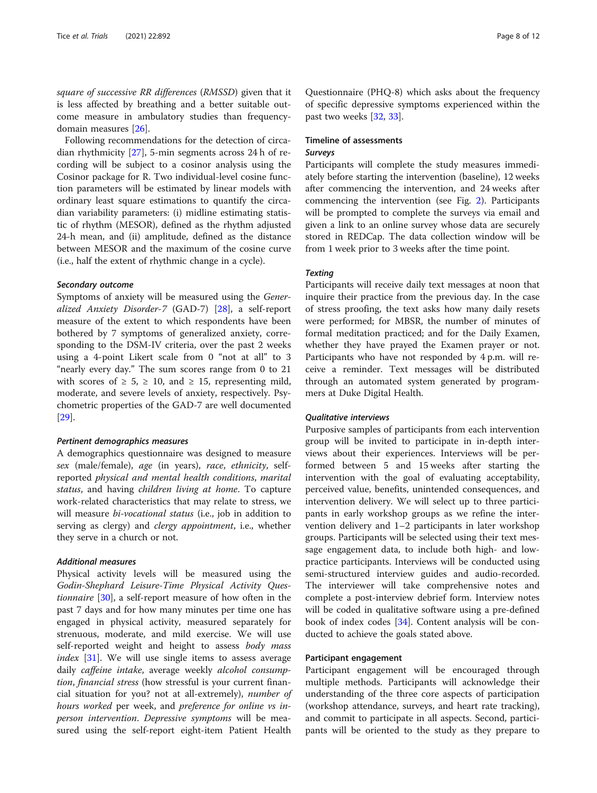square of successive RR differences (RMSSD) given that it is less affected by breathing and a better suitable outcome measure in ambulatory studies than frequencydomain measures [[26](#page-10-0)].

Following recommendations for the detection of circadian rhythmicity [\[27](#page-11-0)], 5-min segments across 24 h of recording will be subject to a cosinor analysis using the Cosinor package for R. Two individual-level cosine function parameters will be estimated by linear models with ordinary least square estimations to quantify the circadian variability parameters: (i) midline estimating statistic of rhythm (MESOR), defined as the rhythm adjusted 24-h mean, and (ii) amplitude, defined as the distance between MESOR and the maximum of the cosine curve (i.e., half the extent of rhythmic change in a cycle).

#### Secondary outcome

Symptoms of anxiety will be measured using the Generalized Anxiety Disorder-7 (GAD-7) [\[28\]](#page-11-0), a self-report measure of the extent to which respondents have been bothered by 7 symptoms of generalized anxiety, corresponding to the DSM-IV criteria, over the past 2 weeks using a 4-point Likert scale from 0 "not at all" to 3 "nearly every day." The sum scores range from 0 to 21 with scores of  $\geq 5$ ,  $\geq 10$ , and  $\geq 15$ , representing mild, moderate, and severe levels of anxiety, respectively. Psychometric properties of the GAD-7 are well documented [[29\]](#page-11-0).

#### Pertinent demographics measures

A demographics questionnaire was designed to measure sex (male/female), age (in years), race, ethnicity, selfreported physical and mental health conditions, marital status, and having children living at home. To capture work-related characteristics that may relate to stress, we will measure *bi-vocational status* (i.e., job in addition to serving as clergy) and *clergy appointment*, i.e., whether they serve in a church or not.

#### Additional measures

Physical activity levels will be measured using the Godin-Shephard Leisure-Time Physical Activity Questionnaire [\[30\]](#page-11-0), a self-report measure of how often in the past 7 days and for how many minutes per time one has engaged in physical activity, measured separately for strenuous, moderate, and mild exercise. We will use self-reported weight and height to assess body mass index [[31\]](#page-11-0). We will use single items to assess average daily caffeine intake, average weekly alcohol consumption, financial stress (how stressful is your current financial situation for you? not at all-extremely), number of hours worked per week, and preference for online vs inperson intervention. Depressive symptoms will be measured using the self-report eight-item Patient Health

Questionnaire (PHQ-8) which asks about the frequency of specific depressive symptoms experienced within the past two weeks [[32,](#page-11-0) [33](#page-11-0)].

#### Timeline of assessments Surveys

Participants will complete the study measures immediately before starting the intervention (baseline), 12 weeks after commencing the intervention, and 24 weeks after commencing the intervention (see Fig. [2](#page-8-0)). Participants will be prompted to complete the surveys via email and given a link to an online survey whose data are securely stored in REDCap. The data collection window will be from 1 week prior to 3 weeks after the time point.

#### **Texting**

Participants will receive daily text messages at noon that inquire their practice from the previous day. In the case of stress proofing, the text asks how many daily resets were performed; for MBSR, the number of minutes of formal meditation practiced; and for the Daily Examen, whether they have prayed the Examen prayer or not. Participants who have not responded by 4 p.m. will receive a reminder. Text messages will be distributed through an automated system generated by programmers at Duke Digital Health.

#### Qualitative interviews

Purposive samples of participants from each intervention group will be invited to participate in in-depth interviews about their experiences. Interviews will be performed between 5 and 15 weeks after starting the intervention with the goal of evaluating acceptability, perceived value, benefits, unintended consequences, and intervention delivery. We will select up to three participants in early workshop groups as we refine the intervention delivery and 1–2 participants in later workshop groups. Participants will be selected using their text message engagement data, to include both high- and lowpractice participants. Interviews will be conducted using semi-structured interview guides and audio-recorded. The interviewer will take comprehensive notes and complete a post-interview debrief form. Interview notes will be coded in qualitative software using a pre-defined book of index codes [[34\]](#page-11-0). Content analysis will be conducted to achieve the goals stated above.

#### Participant engagement

Participant engagement will be encouraged through multiple methods. Participants will acknowledge their understanding of the three core aspects of participation (workshop attendance, surveys, and heart rate tracking), and commit to participate in all aspects. Second, participants will be oriented to the study as they prepare to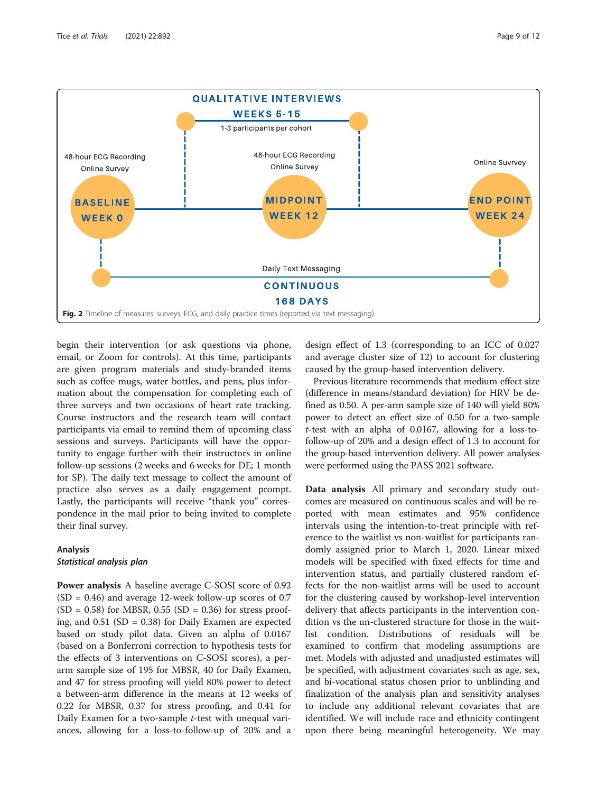<span id="page-8-0"></span>

begin their intervention (or ask questions via phone, email, or Zoom for controls). At this time, participants are given program materials and study-branded items such as coffee mugs, water bottles, and pens, plus information about the compensation for completing each of three surveys and two occasions of heart rate tracking. Course instructors and the research team will contact participants via email to remind them of upcoming class sessions and surveys. Participants will have the opportunity to engage further with their instructors in online follow-up sessions (2 weeks and 6 weeks for DE; 1 month for SP). The daily text message to collect the amount of practice also serves as a daily engagement prompt. Lastly, the participants will receive "thank you" correspondence in the mail prior to being invited to complete their final survey.

#### Analysis

#### Statistical analysis plan

Power analysis A baseline average C-SOSI score of 0.92  $(SD = 0.46)$  and average 12-week follow-up scores of 0.7  $(SD = 0.58)$  for MBSR, 0.55  $(SD = 0.36)$  for stress proofing, and 0.51 (SD = 0.38) for Daily Examen are expected based on study pilot data. Given an alpha of 0.0167 (based on a Bonferroni correction to hypothesis tests for the effects of 3 interventions on C-SOSI scores), a perarm sample size of 195 for MBSR, 40 for Daily Examen, and 47 for stress proofing will yield 80% power to detect a between-arm difference in the means at 12 weeks of 0.22 for MBSR, 0.37 for stress proofing, and 0.41 for Daily Examen for a two-sample *t*-test with unequal variances, allowing for a loss-to-follow-up of 20% and a

design effect of 1.3 (corresponding to an ICC of 0.027 and average cluster size of 12) to account for clustering caused by the group-based intervention delivery.

Previous literature recommends that medium effect size (difference in means/standard deviation) for HRV be defined as 0.50. A per-arm sample size of 140 will yield 80% power to detect an effect size of 0.50 for a two-sample t-test with an alpha of 0.0167, allowing for a loss-tofollow-up of 20% and a design effect of 1.3 to account for the group-based intervention delivery. All power analyses were performed using the PASS 2021 software.

Data analysis All primary and secondary study outcomes are measured on continuous scales and will be reported with mean estimates and 95% confidence intervals using the intention-to-treat principle with reference to the waitlist vs non-waitlist for participants randomly assigned prior to March 1, 2020. Linear mixed models will be specified with fixed effects for time and intervention status, and partially clustered random effects for the non-waitlist arms will be used to account for the clustering caused by workshop-level intervention delivery that affects participants in the intervention condition vs the un-clustered structure for those in the waitlist condition. Distributions of residuals will be examined to confirm that modeling assumptions are met. Models with adjusted and unadjusted estimates will be specified, with adjustment covariates such as age, sex, and bi-vocational status chosen prior to unblinding and finalization of the analysis plan and sensitivity analyses to include any additional relevant covariates that are identified. We will include race and ethnicity contingent upon there being meaningful heterogeneity. We may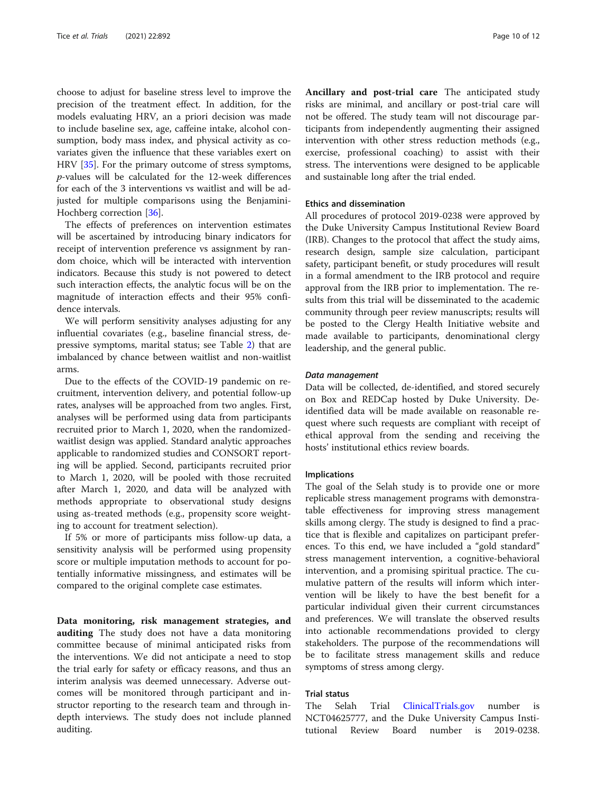choose to adjust for baseline stress level to improve the precision of the treatment effect. In addition, for the models evaluating HRV, an a priori decision was made to include baseline sex, age, caffeine intake, alcohol consumption, body mass index, and physical activity as covariates given the influence that these variables exert on HRV [\[35](#page-11-0)]. For the primary outcome of stress symptoms, p-values will be calculated for the 12-week differences for each of the 3 interventions vs waitlist and will be adjusted for multiple comparisons using the Benjamini-Hochberg correction [[36\]](#page-11-0).

The effects of preferences on intervention estimates will be ascertained by introducing binary indicators for receipt of intervention preference vs assignment by random choice, which will be interacted with intervention indicators. Because this study is not powered to detect such interaction effects, the analytic focus will be on the magnitude of interaction effects and their 95% confidence intervals.

We will perform sensitivity analyses adjusting for any influential covariates (e.g., baseline financial stress, depressive symptoms, marital status; see Table [2](#page-6-0)) that are imbalanced by chance between waitlist and non-waitlist arms.

Due to the effects of the COVID-19 pandemic on recruitment, intervention delivery, and potential follow-up rates, analyses will be approached from two angles. First, analyses will be performed using data from participants recruited prior to March 1, 2020, when the randomizedwaitlist design was applied. Standard analytic approaches applicable to randomized studies and CONSORT reporting will be applied. Second, participants recruited prior to March 1, 2020, will be pooled with those recruited after March 1, 2020, and data will be analyzed with methods appropriate to observational study designs using as-treated methods (e.g., propensity score weighting to account for treatment selection).

If 5% or more of participants miss follow-up data, a sensitivity analysis will be performed using propensity score or multiple imputation methods to account for potentially informative missingness, and estimates will be compared to the original complete case estimates.

Data monitoring, risk management strategies, and auditing The study does not have a data monitoring committee because of minimal anticipated risks from the interventions. We did not anticipate a need to stop the trial early for safety or efficacy reasons, and thus an interim analysis was deemed unnecessary. Adverse outcomes will be monitored through participant and instructor reporting to the research team and through indepth interviews. The study does not include planned auditing.

Ancillary and post-trial care The anticipated study risks are minimal, and ancillary or post-trial care will not be offered. The study team will not discourage participants from independently augmenting their assigned intervention with other stress reduction methods (e.g., exercise, professional coaching) to assist with their stress. The interventions were designed to be applicable and sustainable long after the trial ended.

#### Ethics and dissemination

All procedures of protocol 2019-0238 were approved by the Duke University Campus Institutional Review Board (IRB). Changes to the protocol that affect the study aims, research design, sample size calculation, participant safety, participant benefit, or study procedures will result in a formal amendment to the IRB protocol and require approval from the IRB prior to implementation. The results from this trial will be disseminated to the academic community through peer review manuscripts; results will be posted to the Clergy Health Initiative website and made available to participants, denominational clergy leadership, and the general public.

#### Data management

Data will be collected, de-identified, and stored securely on Box and REDCap hosted by Duke University. Deidentified data will be made available on reasonable request where such requests are compliant with receipt of ethical approval from the sending and receiving the hosts' institutional ethics review boards.

#### Implications

The goal of the Selah study is to provide one or more replicable stress management programs with demonstratable effectiveness for improving stress management skills among clergy. The study is designed to find a practice that is flexible and capitalizes on participant preferences. To this end, we have included a "gold standard" stress management intervention, a cognitive-behavioral intervention, and a promising spiritual practice. The cumulative pattern of the results will inform which intervention will be likely to have the best benefit for a particular individual given their current circumstances and preferences. We will translate the observed results into actionable recommendations provided to clergy stakeholders. The purpose of the recommendations will be to facilitate stress management skills and reduce symptoms of stress among clergy.

#### Trial status

The Selah Trial [ClinicalTrials.gov](http://clinicaltrials.gov) number is NCT04625777, and the Duke University Campus Institutional Review Board number is 2019-0238.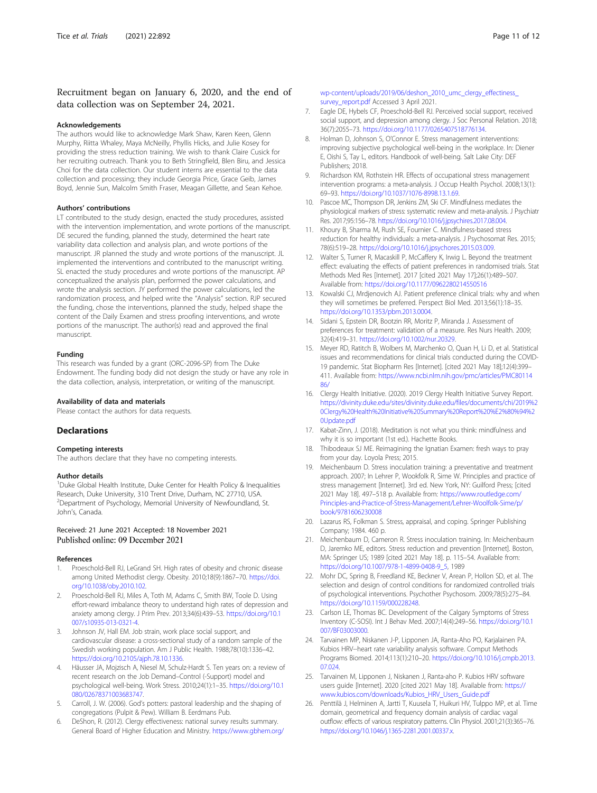#### <span id="page-10-0"></span>Recruitment began on January 6, 2020, and the end of data collection was on September 24, 2021.

#### Acknowledgements

The authors would like to acknowledge Mark Shaw, Karen Keen, Glenn Murphy, Riitta Whaley, Maya McNeilly, Phyllis Hicks, and Julie Kosey for providing the stress reduction training. We wish to thank Claire Cusick for her recruiting outreach. Thank you to Beth Stringfield, Blen Biru, and Jessica Choi for the data collection. Our student interns are essential to the data collection and processing; they include Georgia Price, Grace Geib, James Boyd, Jennie Sun, Malcolm Smith Fraser, Meagan Gillette, and Sean Kehoe.

#### Authors' contributions

LT contributed to the study design, enacted the study procedures, assisted with the intervention implementation, and wrote portions of the manuscript. DE secured the funding, planned the study, determined the heart rate variability data collection and analysis plan, and wrote portions of the manuscript. JR planned the study and wrote portions of the manuscript. JL implemented the interventions and contributed to the manuscript writing. SL enacted the study procedures and wrote portions of the manuscript. AP conceptualized the analysis plan, performed the power calculations, and wrote the analysis section. JY performed the power calculations, led the randomization process, and helped write the "Analysis" section. RJP secured the funding, chose the interventions, planned the study, helped shape the content of the Daily Examen and stress proofing interventions, and wrote portions of the manuscript. The author(s) read and approved the final manuscript.

#### Funding

This research was funded by a grant (ORC-2096-SP) from The Duke Endowment. The funding body did not design the study or have any role in the data collection, analysis, interpretation, or writing of the manuscript.

#### Availability of data and materials

Please contact the authors for data requests.

#### **Declarations**

#### Competing interests

The authors declare that they have no competing interests.

#### Author details

<sup>1</sup>Duke Global Health Institute, Duke Center for Health Policy & Inequalities Research, Duke University, 310 Trent Drive, Durham, NC 27710, USA. <sup>2</sup> Department of Psychology, Memorial University of Newfoundland, St. John's, Canada.

#### Received: 21 June 2021 Accepted: 18 November 2021 Published online: 09 December 2021

#### References

- Proeschold-Bell RJ, LeGrand SH. High rates of obesity and chronic disease among United Methodist clergy. Obesity. 2010;18(9):1867–70. [https://doi.](https://doi.org/10.1038/oby.2010.102) [org/10.1038/oby.2010.102.](https://doi.org/10.1038/oby.2010.102)
- 2. Proeschold-Bell RJ, Miles A, Toth M, Adams C, Smith BW, Toole D. Using effort-reward imbalance theory to understand high rates of depression and anxiety among clergy. J Prim Prev. 2013;34(6):439–53. [https://doi.org/10.1](https://doi.org/10.1007/s10935-013-0321-4) [007/s10935-013-0321-4.](https://doi.org/10.1007/s10935-013-0321-4)
- Johnson JV, Hall EM. Job strain, work place social support, and cardiovascular disease: a cross-sectional study of a random sample of the Swedish working population. Am J Public Health. 1988;78(10):1336–42. <https://doi.org/10.2105/ajph.78.10.1336>.
- 4. Häusser JA, Mojzisch A, Niesel M, Schulz-Hardt S. Ten years on: a review of recent research on the Job Demand–Control (-Support) model and psychological well-being. Work Stress. 2010;24(1):1–35. [https://doi.org/10.1](https://doi.org/10.1080/02678371003683747) [080/02678371003683747](https://doi.org/10.1080/02678371003683747).
- 5. Carroll, J. W. (2006). God's potters: pastoral leadership and the shaping of congregations (Pulpit & Pew). William B. Eerdmans Pub.
- 6. DeShon, R. (2012). Clergy effectiveness: national survey results summary. General Board of Higher Education and Ministry. [https://www.gbhem.org/](https://www.gbhem.org/wp-content/uploads/2019/06/deshon_2010_umc_clergy_effectiness_survey_report.pdf)

wp-content/uploads/2019/06/deshon\_2010\_umc\_clergy\_effectiness [survey\\_report.pdf](https://www.gbhem.org/wp-content/uploads/2019/06/deshon_2010_umc_clergy_effectiness_survey_report.pdf) Accessed 3 April 2021.

- 7. Eagle DE, Hybels CF, Proeschold-Bell RJ. Perceived social support, received social support, and depression among clergy. J Soc Personal Relation. 2018; 36(7):2055–73. <https://doi.org/10.1177/0265407518776134>.
- 8. Holman D, Johnson S, O'Connor E. Stress management interventions: improving subjective psychological well-being in the workplace. In: Diener E, Oishi S, Tay L, editors. Handbook of well-being. Salt Lake City: DEF Publishers; 2018.
- 9. Richardson KM, Rothstein HR. Effects of occupational stress management intervention programs: a meta-analysis. J Occup Health Psychol. 2008;13(1): 69–93. <https://doi.org/10.1037/1076-8998.13.1.69>.
- 10. Pascoe MC, Thompson DR, Jenkins ZM, Ski CF. Mindfulness mediates the physiological markers of stress: systematic review and meta-analysis. J Psychiatr Res. 2017;95:156–78. [https://doi.org/10.1016/j.jpsychires.2017.08.004.](https://doi.org/10.1016/j.jpsychires.2017.08.004)
- 11. Khoury B, Sharma M, Rush SE, Fournier C. Mindfulness-based stress reduction for healthy individuals: a meta-analysis. J Psychosomat Res. 2015; 78(6):519–28. [https://doi.org/10.1016/j.jpsychores.2015.03.009.](https://doi.org/10.1016/j.jpsychores.2015.03.009)
- 12. Walter S, Turner R, Macaskill P, McCaffery K, Irwig L. Beyond the treatment effect: evaluating the effects of patient preferences in randomised trials. Stat Methods Med Res [Internet]. 2017 [cited 2021 May 17];26(1):489–507. Available from: <https://doi.org/10.1177/0962280214550516>
- 13. Kowalski CJ, Mrdjenovich AJ. Patient preference clinical trials: why and when they will sometimes be preferred. Perspect Biol Med. 2013;56(1):18–35. <https://doi.org/10.1353/pbm.2013.0004>.
- 14. Sidani S, Epstein DR, Bootzin RR, Moritz P, Miranda J. Assessment of preferences for treatment: validation of a measure. Res Nurs Health. 2009; 32(4):419–31. [https://doi.org/10.1002/nur.20329.](https://doi.org/10.1002/nur.20329)
- 15. Meyer RD, Ratitch B, Wolbers M, Marchenko O, Quan H, Li D, et al. Statistical issues and recommendations for clinical trials conducted during the COVID-19 pandemic. Stat Biopharm Res [Internet]. [cited 2021 May 18];12(4):399– 411. Available from: [https://www.ncbi.nlm.nih.gov/pmc/articles/PMC80114](https://www.ncbi.nlm.nih.gov/pmc/articles/PMC8011486/) [86/](https://www.ncbi.nlm.nih.gov/pmc/articles/PMC8011486/)
- 16. Clergy Health Initiative. (2020). 2019 Clergy Health Initiative Survey Report. [https://divinity.duke.edu/sites/divinity.duke.edu/files/documents/chi/2019%2](https://divinity.duke.edu/sites/divinity.duke.edu/files/documents/chi/2019%20Clergy%20Health%20Initiative%20Summary%20Report%20%E2%80%94%20Update.pdf) [0Clergy%20Health%20Initiative%20Summary%20Report%20%E2%80%94%2](https://divinity.duke.edu/sites/divinity.duke.edu/files/documents/chi/2019%20Clergy%20Health%20Initiative%20Summary%20Report%20%E2%80%94%20Update.pdf) [0Update.pdf](https://divinity.duke.edu/sites/divinity.duke.edu/files/documents/chi/2019%20Clergy%20Health%20Initiative%20Summary%20Report%20%E2%80%94%20Update.pdf)
- 17. Kabat-Zinn, J. (2018). Meditation is not what you think: mindfulness and why it is so important (1st ed.). Hachette Books.
- 18. Thibodeaux SJ ME. Reimagining the Ignatian Examen: fresh ways to pray from your day. Loyola Press; 2015.
- 19. Meichenbaum D. Stress inoculation training: a preventative and treatment approach. 2007; In Lehrer P, Wookfolk R, Sime W. Principles and practice of stress management [Internet]. 3rd ed. New York, NY: Guilford Press; [cited 2021 May 18]. 497–518 p. Available from: [https://www.routledge.com/](https://www.routledge.com/Principles-and-Practice-of-Stress-Management/Lehrer-Woolfolk-Sime/p/book/9781606230008) [Principles-and-Practice-of-Stress-Management/Lehrer-Woolfolk-Sime/p/](https://www.routledge.com/Principles-and-Practice-of-Stress-Management/Lehrer-Woolfolk-Sime/p/book/9781606230008) [book/9781606230008](https://www.routledge.com/Principles-and-Practice-of-Stress-Management/Lehrer-Woolfolk-Sime/p/book/9781606230008)
- 20. Lazarus RS, Folkman S. Stress, appraisal, and coping. Springer Publishing Company; 1984. 460 p.
- 21. Meichenbaum D, Cameron R. Stress inoculation training. In: Meichenbaum D, Jaremko ME, editors. Stress reduction and prevention [Internet]. Boston, MA: Springer US; 1989 [cited 2021 May 18]. p. 115–54. Available from: [https://doi.org/10.1007/978-1-4899-0408-9\\_5,](https://doi.org/10.1007/978-1-4899-0408-9_5) 1989
- 22. Mohr DC, Spring B, Freedland KE, Beckner V, Arean P, Hollon SD, et al. The selection and design of control conditions for randomized controlled trials of psychological interventions. Psychother Psychosom. 2009;78(5):275–84. [https://doi.org/10.1159/000228248.](https://doi.org/10.1159/000228248)
- 23. Carlson LE, Thomas BC. Development of the Calgary Symptoms of Stress Inventory (C-SOSI). Int J Behav Med. 2007;14(4):249–56. [https://doi.org/10.1](https://doi.org/10.1007/BF03003000) [007/BF03003000.](https://doi.org/10.1007/BF03003000)
- 24. Tarvainen MP, Niskanen J-P, Lipponen JA, Ranta-Aho PO, Karjalainen PA. Kubios HRV--heart rate variability analysis software. Comput Methods Programs Biomed. 2014;113(1):210–20. [https://doi.org/10.1016/j.cmpb.2013.](https://doi.org/10.1016/j.cmpb.2013.07.024) [07.024](https://doi.org/10.1016/j.cmpb.2013.07.024).
- 25. Tarvainen M, Lipponen J, Niskanen J, Ranta-aho P. Kubios HRV software users guide [Internet]. 2020 [cited 2021 May 18]. Available from: [https://](https://www.kubios.com/downloads/Kubios_HRV_Users_Guide.pdf) [www.kubios.com/downloads/Kubios\\_HRV\\_Users\\_Guide.pdf](https://www.kubios.com/downloads/Kubios_HRV_Users_Guide.pdf)
- 26. Penttilä J, Helminen A, Jartti T, Kuusela T, Huikuri HV, Tulppo MP, et al. Time domain, geometrical and frequency domain analysis of cardiac vagal outflow: effects of various respiratory patterns. Clin Physiol. 2001;21(3):365–76. [https://doi.org/10.1046/j.1365-2281.2001.00337.x.](https://doi.org/10.1046/j.1365-2281.2001.00337.x)